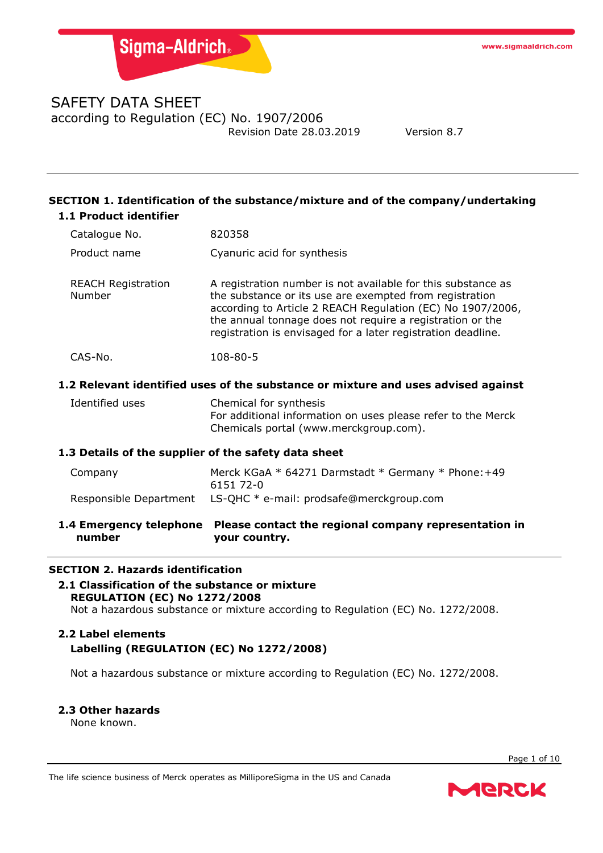## SAFETY DATA SHEET according to Regulation (EC) No. 1907/2006 Revision Date 28.03.2019 Version 8.7

## **SECTION 1. Identification of the substance/mixture and of the company/undertaking 1.1 Product identifier**

| 1.4 Emergency telephone<br>number                    | Please contact the regional company representation in<br>your country.                                                                                                                                                                                                                                             |  |
|------------------------------------------------------|--------------------------------------------------------------------------------------------------------------------------------------------------------------------------------------------------------------------------------------------------------------------------------------------------------------------|--|
| Responsible Department                               | LS-QHC * e-mail: prodsafe@merckgroup.com                                                                                                                                                                                                                                                                           |  |
| Company                                              | Merck KGaA * 64271 Darmstadt * Germany * Phone: +49<br>6151 72-0                                                                                                                                                                                                                                                   |  |
| 1.3 Details of the supplier of the safety data sheet |                                                                                                                                                                                                                                                                                                                    |  |
| Identified uses                                      | Chemical for synthesis<br>For additional information on uses please refer to the Merck<br>Chemicals portal (www.merckgroup.com).                                                                                                                                                                                   |  |
|                                                      | 1.2 Relevant identified uses of the substance or mixture and uses advised against                                                                                                                                                                                                                                  |  |
| CAS-No.                                              | 108-80-5                                                                                                                                                                                                                                                                                                           |  |
| <b>REACH Registration</b><br>Number                  | A registration number is not available for this substance as<br>the substance or its use are exempted from registration<br>according to Article 2 REACH Regulation (EC) No 1907/2006,<br>the annual tonnage does not require a registration or the<br>registration is envisaged for a later registration deadline. |  |
| Product name                                         | Cyanuric acid for synthesis                                                                                                                                                                                                                                                                                        |  |
| Catalogue No.                                        | 820358                                                                                                                                                                                                                                                                                                             |  |

### **SECTION 2. Hazards identification**

## **2.1 Classification of the substance or mixture REGULATION (EC) No 1272/2008**

Not a hazardous substance or mixture according to Regulation (EC) No. 1272/2008.

## **2.2 Label elements Labelling (REGULATION (EC) No 1272/2008)**

Not a hazardous substance or mixture according to Regulation (EC) No. 1272/2008.

### **2.3 Other hazards**

None known.

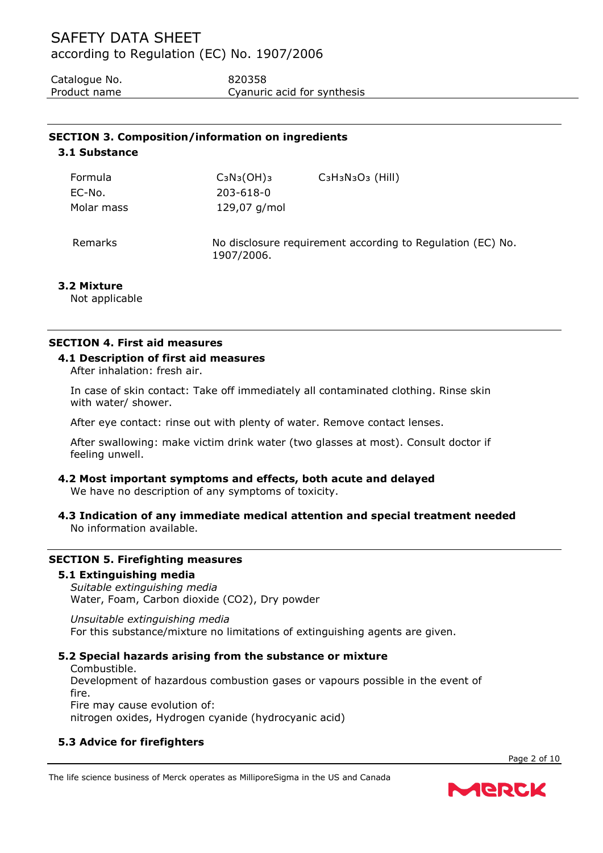Catalogue No. 620358 Product name Cyanuric acid for synthesis

# **SECTION 3. Composition/information on ingredients**

**3.1 Substance**

| Formula    | $C_3N_3(OH)_3$ | $C_3H_3N_3O_3$ (Hill)                                      |
|------------|----------------|------------------------------------------------------------|
| EC-No.     | 203-618-0      |                                                            |
| Molar mass | 129,07 g/mol   |                                                            |
| Remarks    | 1907/2006.     | No disclosure requirement according to Regulation (EC) No. |

## **3.2 Mixture**

Not applicable

## **SECTION 4. First aid measures**

## **4.1 Description of first aid measures**

After inhalation: fresh air.

In case of skin contact: Take off immediately all contaminated clothing. Rinse skin with water/ shower.

After eye contact: rinse out with plenty of water. Remove contact lenses.

After swallowing: make victim drink water (two glasses at most). Consult doctor if feeling unwell.

#### **4.2 Most important symptoms and effects, both acute and delayed** We have no description of any symptoms of toxicity.

**4.3 Indication of any immediate medical attention and special treatment needed** No information available.

## **SECTION 5. Firefighting measures**

### **5.1 Extinguishing media**

*Suitable extinguishing media* Water, Foam, Carbon dioxide (CO2), Dry powder

*Unsuitable extinguishing media* For this substance/mixture no limitations of extinguishing agents are given.

## **5.2 Special hazards arising from the substance or mixture**

Combustible. Development of hazardous combustion gases or vapours possible in the event of fire. Fire may cause evolution of: nitrogen oxides, Hydrogen cyanide (hydrocyanic acid)

## **5.3 Advice for firefighters**

Page 2 of 10



The life science business of Merck operates as MilliporeSigma in the US and Canada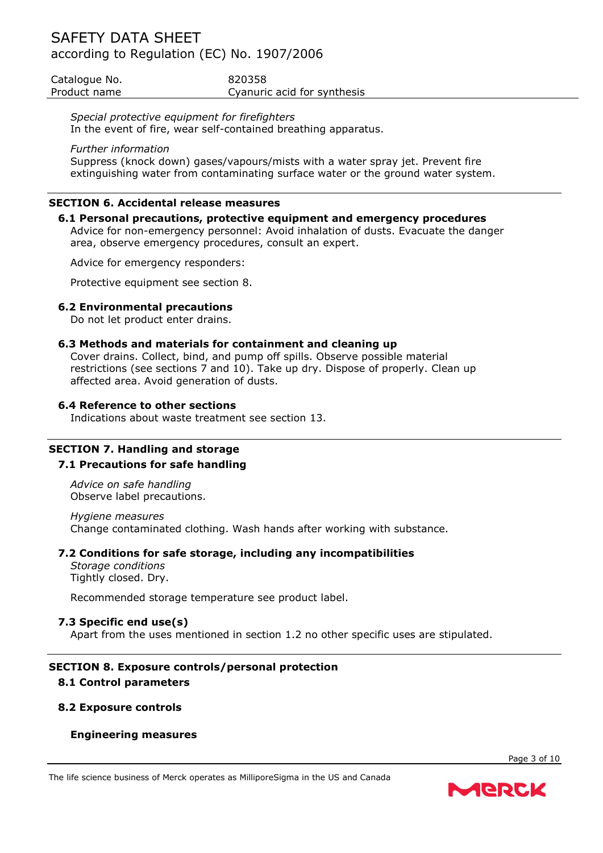| Catalogue No. | 820358                      |
|---------------|-----------------------------|
| Product name  | Cyanuric acid for synthesis |

*Special protective equipment for firefighters* In the event of fire, wear self-contained breathing apparatus.

#### *Further information*

Suppress (knock down) gases/vapours/mists with a water spray jet. Prevent fire extinguishing water from contaminating surface water or the ground water system.

#### **SECTION 6. Accidental release measures**

#### **6.1 Personal precautions, protective equipment and emergency procedures**

Advice for non-emergency personnel: Avoid inhalation of dusts. Evacuate the danger area, observe emergency procedures, consult an expert.

Advice for emergency responders:

Protective equipment see section 8.

#### **6.2 Environmental precautions**

Do not let product enter drains.

#### **6.3 Methods and materials for containment and cleaning up**

Cover drains. Collect, bind, and pump off spills. Observe possible material restrictions (see sections 7 and 10). Take up dry. Dispose of properly. Clean up affected area. Avoid generation of dusts.

#### **6.4 Reference to other sections**

Indications about waste treatment see section 13.

#### **SECTION 7. Handling and storage**

### **7.1 Precautions for safe handling**

*Advice on safe handling* Observe label precautions.

*Hygiene measures* Change contaminated clothing. Wash hands after working with substance.

### **7.2 Conditions for safe storage, including any incompatibilities**

*Storage conditions* Tightly closed. Dry.

Recommended storage temperature see product label.

### **7.3 Specific end use(s)**

Apart from the uses mentioned in section 1.2 no other specific uses are stipulated.

## **SECTION 8. Exposure controls/personal protection**

## **8.1 Control parameters**

#### **8.2 Exposure controls**

### **Engineering measures**

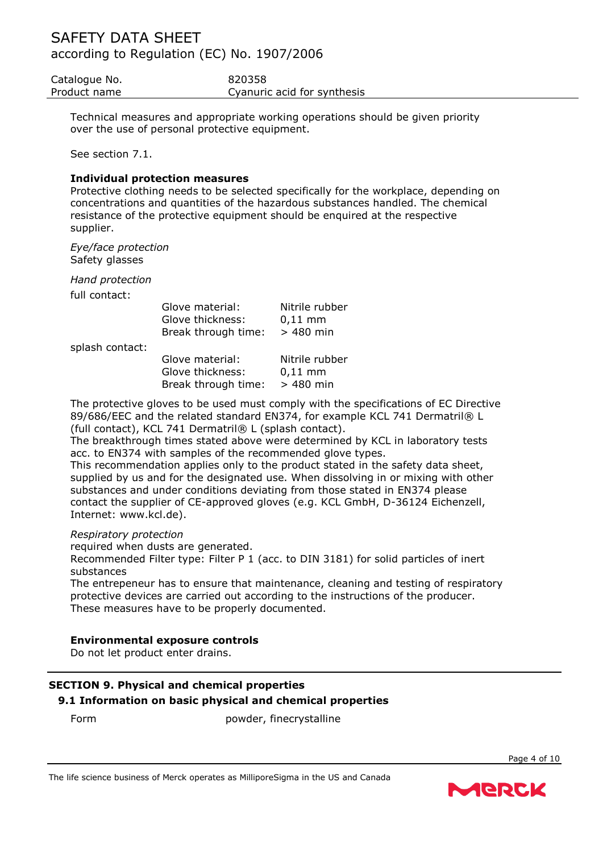Catalogue No. 620358 Product name Cyanuric acid for synthesis

Technical measures and appropriate working operations should be given priority over the use of personal protective equipment.

See section 7.1.

### **Individual protection measures**

Protective clothing needs to be selected specifically for the workplace, depending on concentrations and quantities of the hazardous substances handled. The chemical resistance of the protective equipment should be enquired at the respective supplier.

*Eye/face protection* Safety glasses

*Hand protection*

full contact:

|                 | Glove material:<br>Glove thickness:<br>Break through time: | Nitrile rubber<br>$0,11$ mm<br>$>480$ min |
|-----------------|------------------------------------------------------------|-------------------------------------------|
| splash contact: |                                                            |                                           |
|                 | Glove material:<br>Glove thickness:                        | Nitrile rubber<br>$0.11 \text{ mm}$       |

| ווסוכיוות און סיטוט | <u>INILIIIC TUDD</u> |
|---------------------|----------------------|
| Glove thickness:    | $0,11 \, \text{mm}$  |
| Break through time: | $>480$ min           |
|                     |                      |

The protective gloves to be used must comply with the specifications of EC Directive 89/686/EEC and the related standard EN374, for example KCL 741 Dermatril® L (full contact), KCL 741 Dermatril® L (splash contact).

The breakthrough times stated above were determined by KCL in laboratory tests acc. to EN374 with samples of the recommended glove types.

This recommendation applies only to the product stated in the safety data sheet, supplied by us and for the designated use. When dissolving in or mixing with other substances and under conditions deviating from those stated in EN374 please contact the supplier of CE-approved gloves (e.g. KCL GmbH, D-36124 Eichenzell, Internet: www.kcl.de).

### *Respiratory protection*

required when dusts are generated.

Recommended Filter type: Filter P 1 (acc. to DIN 3181) for solid particles of inert substances

The entrepeneur has to ensure that maintenance, cleaning and testing of respiratory protective devices are carried out according to the instructions of the producer. These measures have to be properly documented.

### **Environmental exposure controls**

Do not let product enter drains.

## **SECTION 9. Physical and chemical properties 9.1 Information on basic physical and chemical properties**

Form powder, finecrystalline

The life science business of Merck operates as MilliporeSigma in the US and Canada



Page 4 of 10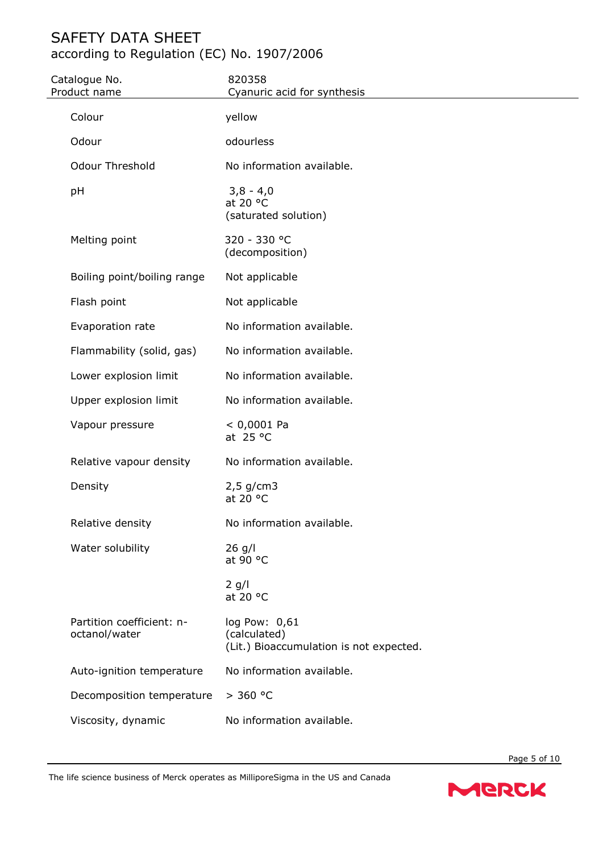| Catalogue No.<br>Product name              | 820358<br>Cyanuric acid for synthesis                                    |
|--------------------------------------------|--------------------------------------------------------------------------|
| Colour                                     | yellow                                                                   |
| Odour                                      | odourless                                                                |
| <b>Odour Threshold</b>                     | No information available.                                                |
| pH                                         | $3,8 - 4,0$<br>at 20 °C<br>(saturated solution)                          |
| Melting point                              | 320 - 330 °C<br>(decomposition)                                          |
| Boiling point/boiling range                | Not applicable                                                           |
| Flash point                                | Not applicable                                                           |
| Evaporation rate                           | No information available.                                                |
| Flammability (solid, gas)                  | No information available.                                                |
| Lower explosion limit                      | No information available.                                                |
| Upper explosion limit                      | No information available.                                                |
| Vapour pressure                            | $< 0,0001$ Pa<br>at $25 °C$                                              |
| Relative vapour density                    | No information available.                                                |
| Density                                    | $2,5$ g/cm3<br>at 20 °C                                                  |
| Relative density                           | No information available.                                                |
| Water solubility                           | $26$ g/l<br>at 90 °C                                                     |
|                                            | $2$ g/l<br>at 20 °C                                                      |
| Partition coefficient: n-<br>octanol/water | log Pow: 0,61<br>(calculated)<br>(Lit.) Bioaccumulation is not expected. |
| Auto-ignition temperature                  | No information available.                                                |
| Decomposition temperature                  | > 360 °C                                                                 |
| Viscosity, dynamic                         | No information available.                                                |
|                                            |                                                                          |

The life science business of Merck operates as MilliporeSigma in the US and Canada



Page 5 of 10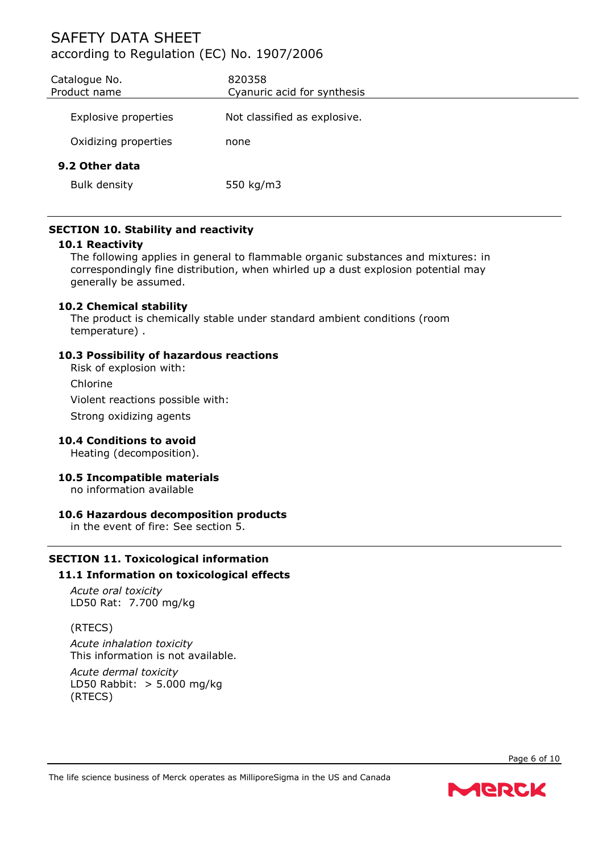| Catalogue No.<br>Product name         | 820358<br>Cyanuric acid for synthesis |
|---------------------------------------|---------------------------------------|
| Explosive properties                  | Not classified as explosive.          |
| Oxidizing properties                  | none                                  |
| 9.2 Other data<br><b>Bulk density</b> | 550 kg/m3                             |

## **SECTION 10. Stability and reactivity**

#### **10.1 Reactivity**

The following applies in general to flammable organic substances and mixtures: in correspondingly fine distribution, when whirled up a dust explosion potential may generally be assumed.

### **10.2 Chemical stability**

The product is chemically stable under standard ambient conditions (room temperature) .

#### **10.3 Possibility of hazardous reactions**

Risk of explosion with:

Chlorine

Violent reactions possible with:

Strong oxidizing agents

### **10.4 Conditions to avoid**

Heating (decomposition).

### **10.5 Incompatible materials**

no information available

### **10.6 Hazardous decomposition products**

in the event of fire: See section 5.

## **SECTION 11. Toxicological information 11.1 Information on toxicological effects**

*Acute oral toxicity* LD50 Rat: 7.700 mg/kg

### (RTECS)

*Acute inhalation toxicity* This information is not available.

*Acute dermal toxicity* LD50 Rabbit: > 5.000 mg/kg (RTECS)

Page 6 of 10

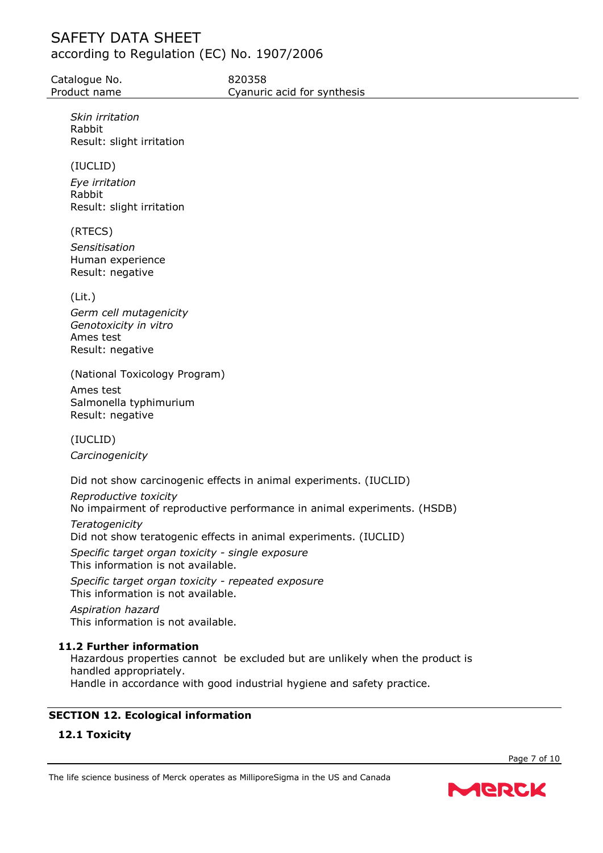Catalogue No. 620358

*Skin irritation* Rabbit Result: slight irritation

(IUCLID)

*Eye irritation* Rabbit Result: slight irritation

## (RTECS)

*Sensitisation* Human experience Result: negative

(Lit.)

*Germ cell mutagenicity Genotoxicity in vitro* Ames test Result: negative

(National Toxicology Program) Ames test

Salmonella typhimurium Result: negative

(IUCLID) *Carcinogenicity*

Did not show carcinogenic effects in animal experiments. (IUCLID)

*Reproductive toxicity* No impairment of reproductive performance in animal experiments. (HSDB) *Teratogenicity* Did not show teratogenic effects in animal experiments. (IUCLID)

*Specific target organ toxicity - single exposure* This information is not available.

*Specific target organ toxicity - repeated exposure* This information is not available.

*Aspiration hazard* This information is not available.

## **11.2 Further information**

Hazardous properties cannot be excluded but are unlikely when the product is handled appropriately. Handle in accordance with good industrial hygiene and safety practice.

## **SECTION 12. Ecological information**

## **12.1 Toxicity**

Page 7 of 10

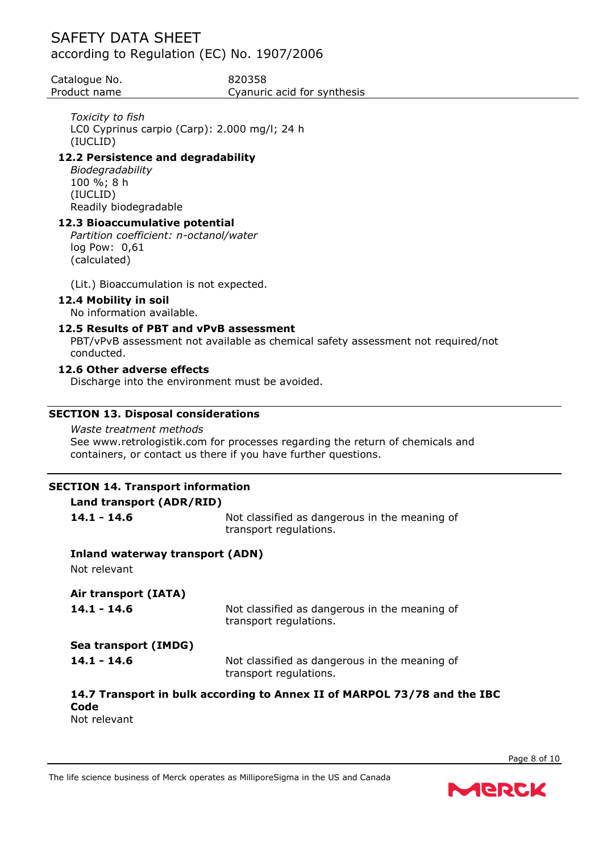Catalogue No. 620358

Product name Cyanuric acid for synthesis

## *Toxicity to fish*

LC0 Cyprinus carpio (Carp): 2.000 mg/l; 24 h (IUCLID)

## **12.2 Persistence and degradability**

*Biodegradability* 100 %; 8 h (IUCLID) Readily biodegradable

## **12.3 Bioaccumulative potential**

*Partition coefficient: n-octanol/water* log Pow: 0,61 (calculated)

(Lit.) Bioaccumulation is not expected.

## **12.4 Mobility in soil**

No information available.

## **12.5 Results of PBT and vPvB assessment**

PBT/vPvB assessment not available as chemical safety assessment not required/not conducted.

## **12.6 Other adverse effects**

Discharge into the environment must be avoided.

## **SECTION 13. Disposal considerations**

### *Waste treatment methods*

See www.retrologistik.com for processes regarding the return of chemicals and containers, or contact us there if you have further questions.

#### **SECTION 14. Transport information Land transport (ADR/RID)**

| Land transport (ADR/RID)                        |                                                                          |
|-------------------------------------------------|--------------------------------------------------------------------------|
| $141 - 146$                                     | Not classified as dangerous in the meaning of<br>transport regulations.  |
| Inland waterway transport (ADN)<br>Not relevant |                                                                          |
| Air transport (IATA)                            |                                                                          |
| $14.1 - 14.6$                                   | Not classified as dangerous in the meaning of<br>transport regulations.  |
| Sea transport (IMDG)                            |                                                                          |
| $14.1 - 14.6$                                   | Not classified as dangerous in the meaning of<br>transport regulations.  |
| Code                                            | 14.7 Transport in bulk according to Annex II of MARPOL 73/78 and the IBC |

Not relevant

The life science business of Merck operates as MilliporeSigma in the US and Canada

MERCK

Page 8 of 10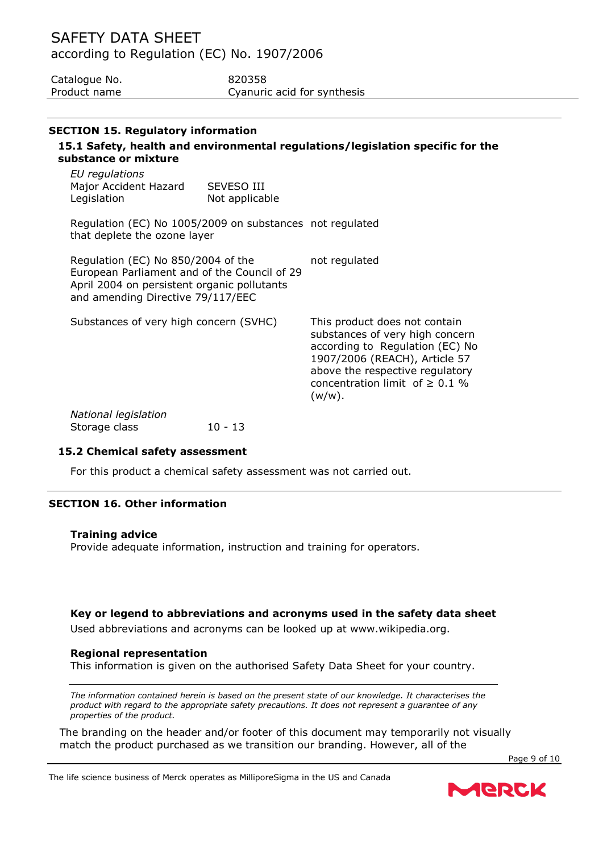| Catalogue No. | 820358                      |
|---------------|-----------------------------|
| Product name  | Cyanuric acid for synthesis |

### **SECTION 15. Regulatory information**

## **15.1 Safety, health and environmental regulations/legislation specific for the substance or mixture**

| EU regulations        |                   |
|-----------------------|-------------------|
| Major Accident Hazard | <b>SEVESO III</b> |
| Legislation           | Not applicable    |

Regulation (EC) No 1005/2009 on substances not regulated that deplete the ozone layer

Regulation (EC) No 850/2004 of the European Parliament and of the Council of 29 April 2004 on persistent organic pollutants and amending Directive 79/117/EEC not regulated

Substances of very high concern (SVHC) This product does not contain substances of very high concern according to Regulation (EC) No 1907/2006 (REACH), Article 57 above the respective regulatory concentration limit of  $\geq$  0.1 % (w/w). *National legislation* Storage class 10 - 13

### **15.2 Chemical safety assessment**

For this product a chemical safety assessment was not carried out.

### **SECTION 16. Other information**

#### **Training advice**

Provide adequate information, instruction and training for operators.

#### **Key or legend to abbreviations and acronyms used in the safety data sheet**

Used abbreviations and acronyms can be looked up at www.wikipedia.org.

#### **Regional representation**

This information is given on the authorised Safety Data Sheet for your country.

*The information contained herein is based on the present state of our knowledge. It characterises the product with regard to the appropriate safety precautions. It does not represent a guarantee of any properties of the product.*

The branding on the header and/or footer of this document may temporarily not visually match the product purchased as we transition our branding. However, all of the

Page 9 of 10